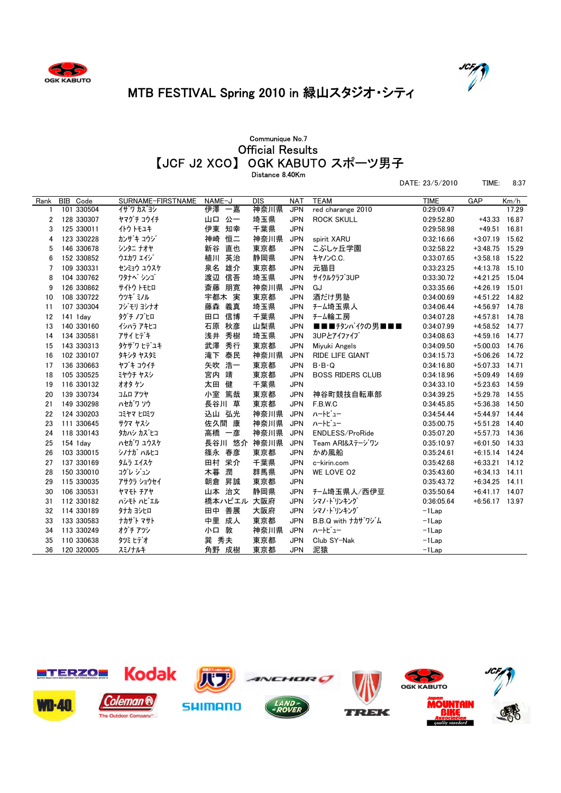



## MTB FESTIVAL Spring 2010 in 緑山スタジオ・シティ

## DATE: 23/5/2010 TIME: 8:37 Official Results Communique No.7 Distance 8.40Km 【JCF J2 XCO】 OGK KABUTO スポーツ男子

| Rank | BIB Code   | SURNAME-FIRSTNAME | NAME-J   | <b>DIS</b> | <b>NAT</b> | <b>TEAM</b>             | <b>TIME</b> | GAP              | Km/h  |
|------|------------|-------------------|----------|------------|------------|-------------------------|-------------|------------------|-------|
|      | 101 330504 | イザワ カズヨシ          | 伊澤 一嘉    | 神奈川県       | <b>JPN</b> | red charange 2010       | 0:29:09.47  |                  | 17.29 |
| 2    | 128 330307 | ヤマグチ コウイチ         | 山口 公一    | 埼玉県        | <b>JPN</b> | <b>ROCK SKULL</b>       | 0:29:52.80  | $+43.33$         | 16.87 |
| 3    | 125 330011 | 仆ウトモュキ            | 伊東 知幸    | 千葉県        | <b>JPN</b> |                         | 0:29:58.98  | $+49.51$         | 16.81 |
| 4    | 123 330228 | カンザキ コウジ          | 神崎<br>恒二 | 神奈川県       | <b>JPN</b> | spirit XARU             | 0.32:16.66  | $+3:07.19$       | 15.62 |
| 5    | 146 330678 | シンタニ ナオヤ          | 直也<br>新谷 | 東京都        | <b>JPN</b> | こぶしヶ丘学園                 | 0:32:58.22  | $+3:48.75$       | 15.29 |
| 6    | 152 330852 | ウエカワ エイジ          | 植川 英治    | 静岡県        | <b>JPN</b> | キヤノンC.C.                | 0:33:07.65  | $+3.58.18$       | 15.22 |
| 7    | 109 330331 | センミョウ ユウスケ        | 泉名<br>雄介 | 東京都        | <b>JPN</b> | 元猫目                     | 0:33:23.25  | $+4:13.78$       | 15.10 |
| 8    | 104 330762 | ワタナベ シンゴ          | 渡辺 信吾    | 埼玉県        | <b>JPN</b> | サイクルクラブ3UP              | 0:33:30.72  | $+4:21.25$       | 15.04 |
| 9    | 126 330862 | サイトウ トモヒロ         | 斎藤 朋寛    | 神奈川県       | <b>JPN</b> | GJ                      | 0:33:35.66  | $+4.26.19$       | 15.01 |
| 10   | 108 330722 | ウツキ ミノル           | 宇都木 実    | 東京都        | <b>JPN</b> | 酒だけ男塾                   | 0:34:00.69  | $+4:51.22$       | 14.82 |
| 11   | 107 330304 | フジモリ ヨシナオ         | 藤森 義真    | 埼玉県        | <b>JPN</b> | チーム埼玉県人                 | 0:34:06.44  | $+4.56.97$       | 14.78 |
| 12   | 141 1day   | タグチ ノブヒロ          | 信博<br>田口 | 千葉県        | <b>JPN</b> | チーム輪工房                  | 0:34:07.28  | $+4:57.81$       | 14.78 |
| 13   | 140 330160 | イシハラ アキヒコ         | 石原 秋彦    | 山梨県        | <b>JPN</b> | ■■■チタンバイクの男■■■          | 0:34:07.99  | $+4:58.52$       | 14.77 |
| 14   | 134 330581 | アサイヒデキ            | 浅井 秀樹    | 埼玉県        | <b>JPN</b> | 3UPとアイファイブ              | 0:34:08.63  | $+4.59.16$       | 14.77 |
| 15   | 143 330313 | タケザワ ヒデュキ         | 武澤<br>秀行 | 東京都        | <b>JPN</b> | Miyuki Angels           | 0:34:09.50  | $+5:00.03$       | 14.76 |
| 16   | 102 330107 | タキシタ ヤスタミ         | 滝下 泰民    | 神奈川県       | <b>JPN</b> | RIDE LIFE GIANT         | 0:34:15.73  | $+5:06.26$       | 14.72 |
| 17   | 136 330663 | ヤブキ コウイチ          | 矢吹 浩一    | 東京都        | <b>JPN</b> | $B \cdot B \cdot Q$     | 0:34:16.80  | $+5:07.33$       | 14.71 |
| 18   | 105 330525 | ミヤウチ ヤスシ          | 宮内 靖     | 東京都        | <b>JPN</b> | <b>BOSS RIDERS CLUB</b> | 0:34:18.96  | $+5:09.49$       | 14.69 |
| 19   | 116 330132 | オオタ ケン            | 健<br>太田  | 千葉県        | <b>JPN</b> |                         | 0:34:33.10  | $+5:23.63$       | 14.59 |
| 20   | 139 330734 | コムロ アツヤ           | 小室 篤哉    | 東京都        | <b>JPN</b> | 神谷町競技自転車部               | 0:34:39.25  | $+5:29.78$       | 14.55 |
| 21   | 149 330298 | ハセガワ ソウ           | 長谷川 草    | 東京都        | <b>JPN</b> | F.B.W.C                 | 0:34:45.85  | $+5:36.38$       | 14.50 |
| 22   | 124 330203 | コミヤマ ヒロミツ         | 込山 弘光    | 神奈川県       | <b>JPN</b> | ハートビュー                  | 0:34:54.44  | $+5:44.97$       | 14.44 |
| 23   | 111 330645 | サクマ ヤスシ           | 佐久間 康    | 神奈川県       | <b>JPN</b> | ハートビュー                  | 0:35:00.75  | $+5:51.28$       | 14.40 |
| 24   | 118 330143 | タカハシ カズ ヒコ        | 高橋 一彦    | 神奈川県       | <b>JPN</b> | ENDLESS/ProRide         | 0:35:07.20  | $+5:57.73$       | 14.36 |
| 25   | 154 1day   | ハセガワ ユウスケ         | 長谷川 悠介   | 神奈川県       | <b>JPN</b> | Team ARI&ステージワン         | 0:35:10.97  | $+6:01.50$       | 14.33 |
| 26   | 103 330015 | シノナガ ハルヒコ         | 篠永 春彦    | 東京都        | <b>JPN</b> | かめ風船                    | 0.35:24.61  | $+6:15.14$       | 14.24 |
| 27   | 137 330169 | タムラ エイスケ          | 田村 栄介    | 千葉県        | <b>JPN</b> | c-kirin.com             | 0:35:42.68  | $+6:33.21$       | 14.12 |
| 28   | 150 330010 | コグレ ジュン           | 木暮<br>潤  | 群馬県        | <b>JPN</b> | WE LOVE O2              | 0:35:43.60  | $+6:34.13$       | 14.11 |
| 29   | 115 330035 | アサクラ ショウセイ        | 昇誠<br>朝倉 | 東京都        | <b>JPN</b> |                         | 0:35:43.72  | $+6:34.25$       | 14.11 |
| 30   | 106 330531 | ヤマモト チアヤ          | 山本 治文    | 静岡県        | <b>JPN</b> | チーム埼玉県人/西伊豆             | 0:35:50.64  | $+6.41.17$       | 14.07 |
| 31   | 112 330182 | ハシモト ハビエル         | 橋本ハビエル   | 大阪府        | <b>JPN</b> | シマノ・ドリンキング              | 0:36:05.64  | $+6.56.17$ 13.97 |       |
| 32   | 114 330189 | タナカ ヨシヒロ          | 田中 善展    | 大阪府        | <b>JPN</b> | シマノ・ドリンキング              | $-1$ Lap    |                  |       |
| 33   | 133 330583 | ナカザト マサト          | 中里 成人    | 東京都        | <b>JPN</b> | B.B.Q with ナカサリジム       | $-1$ Lap    |                  |       |
| 34   | 113 330249 | オグチ アツシ           | 小口 敦     | 神奈川県       | <b>JPN</b> | ハートビュー                  | $-1$ Lap    |                  |       |
| 35   | 110 330638 | タツミ ヒデオ           | 巽 秀夫     | 東京都        | <b>JPN</b> | Club SY-Nak             | $-1$ Lap    |                  |       |
| 36   | 120 320005 | スミノナルキ            | 角野 成樹    | 東京都        | <b>JPN</b> | 泥猿                      | $-1$ Lap    |                  |       |